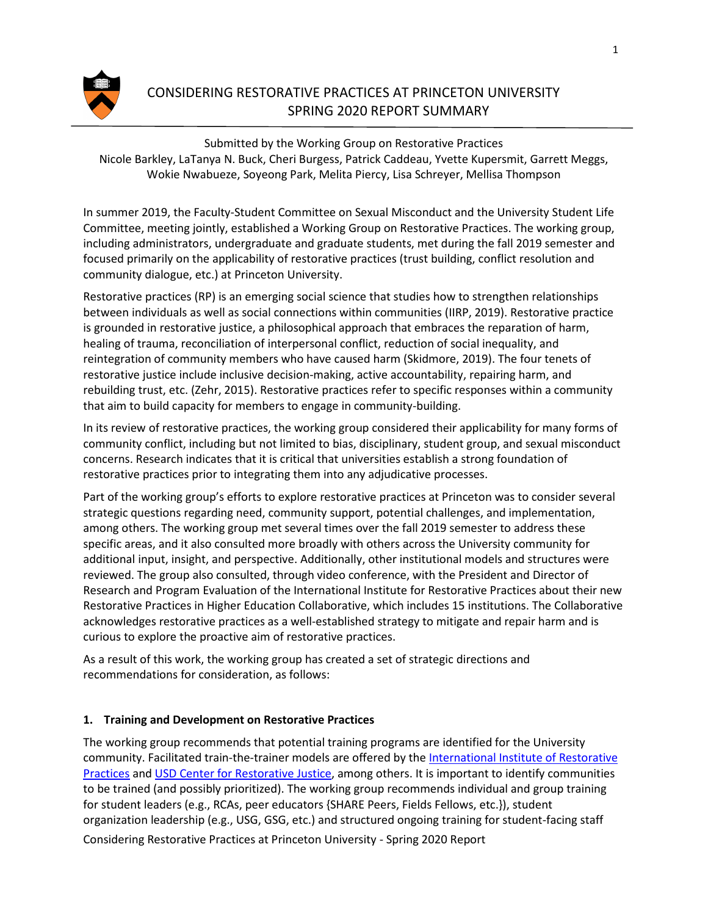

# CONSIDERING RESTORATIVE PRACTICES AT PRINCETON UNIVERSITY SPRING 2020 REPORT SUMMARY

Submitted by the Working Group on Restorative Practices Nicole Barkley, LaTanya N. Buck, Cheri Burgess, Patrick Caddeau, Yvette Kupersmit, Garrett Meggs, Wokie Nwabueze, Soyeong Park, Melita Piercy, Lisa Schreyer, Mellisa Thompson

In summer 2019, the Faculty-Student Committee on Sexual Misconduct and the University Student Life Committee, meeting jointly, established a Working Group on Restorative Practices. The working group, including administrators, undergraduate and graduate students, met during the fall 2019 semester and focused primarily on the applicability of restorative practices (trust building, conflict resolution and community dialogue, etc.) at Princeton University.

Restorative practices (RP) is an emerging social science that studies how to strengthen relationships between individuals as well as social connections within communities (IIRP, 2019). Restorative practice is grounded in restorative justice, a philosophical approach that embraces the reparation of harm, healing of trauma, reconciliation of interpersonal conflict, reduction of social inequality, and reintegration of community members who have caused harm (Skidmore, 2019). The four tenets of restorative justice include inclusive decision-making, active accountability, repairing harm, and rebuilding trust, etc. (Zehr, 2015). Restorative practices refer to specific responses within a community that aim to build capacity for members to engage in community-building.

In its review of restorative practices, the working group considered their applicability for many forms of community conflict, including but not limited to bias, disciplinary, student group, and sexual misconduct concerns. Research indicates that it is critical that universities establish a strong foundation of restorative practices prior to integrating them into any adjudicative processes.

Part of the working group's efforts to explore restorative practices at Princeton was to consider several strategic questions regarding need, community support, potential challenges, and implementation, among others. The working group met several times over the fall 2019 semester to address these specific areas, and it also consulted more broadly with others across the University community for additional input, insight, and perspective. Additionally, other institutional models and structures were reviewed. The group also consulted, through video conference, with the President and Director of Research and Program Evaluation of the International Institute for Restorative Practices about their new Restorative Practices in Higher Education Collaborative, which includes 15 institutions. The Collaborative acknowledges restorative practices as a well-established strategy to mitigate and repair harm and is curious to explore the proactive aim of restorative practices.

As a result of this work, the working group has created a set of strategic directions and recommendations for consideration, as follows:

### **1. Training and Development on Restorative Practices**

Considering Restorative Practices at Princeton University - Spring 2020 Report The working group recommends that potential training programs are identified for the University community. Facilitated train-the-trainer models are offered by the [International Institute of Restorative](https://www.iirp.edu/) [Practices](https://www.iirp.edu/) and [USD Center for Restorative Justice, a](https://www.sandiego.edu/soles/restorative-justice/)mong others. It is important to identify communities to be trained (and possibly prioritized). The working group recommends individual and group training for student leaders (e.g., RCAs, peer educators {SHARE Peers, Fields Fellows, etc.}), student organization leadership (e.g., USG, GSG, etc.) and structured ongoing training for student-facing staff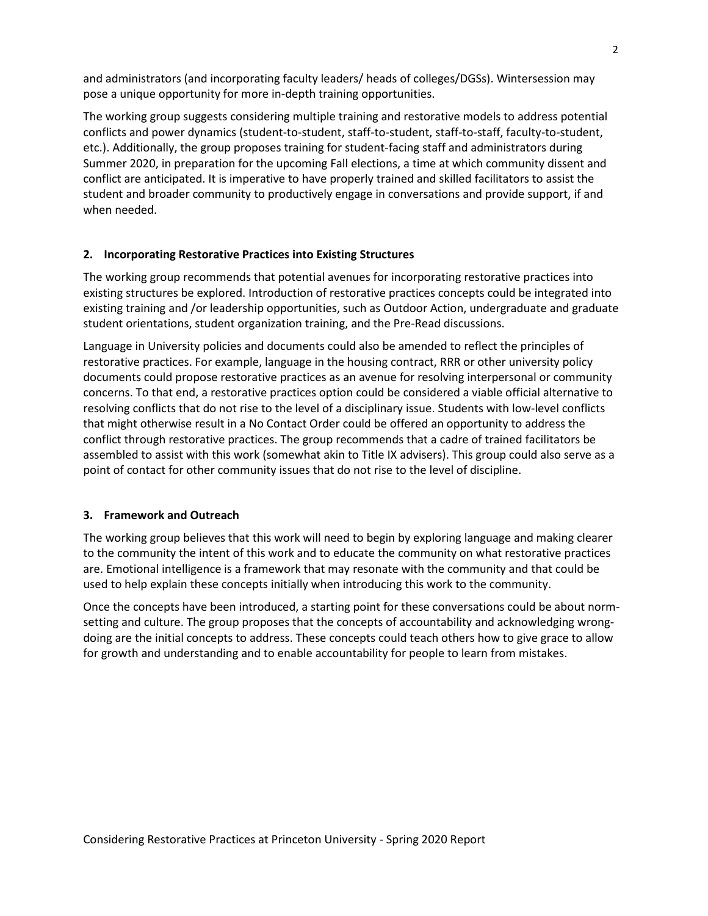and administrators (and incorporating faculty leaders/ heads of colleges/DGSs). Wintersession may pose a unique opportunity for more in-depth training opportunities.

The working group suggests considering multiple training and restorative models to address potential conflicts and power dynamics (student-to-student, staff-to-student, staff-to-staff, faculty-to-student, etc.). Additionally, the group proposes training for student-facing staff and administrators during Summer 2020, in preparation for the upcoming Fall elections, a time at which community dissent and conflict are anticipated. It is imperative to have properly trained and skilled facilitators to assist the student and broader community to productively engage in conversations and provide support, if and when needed.

## **2. Incorporating Restorative Practices into Existing Structures**

The working group recommends that potential avenues for incorporating restorative practices into existing structures be explored. Introduction of restorative practices concepts could be integrated into existing training and /or leadership opportunities, such as Outdoor Action, undergraduate and graduate student orientations, student organization training, and the Pre-Read discussions.

Language in University policies and documents could also be amended to reflect the principles of restorative practices. For example, language in the housing contract, RRR or other university policy documents could propose restorative practices as an avenue for resolving interpersonal or community concerns. To that end, a restorative practices option could be considered a viable official alternative to resolving conflicts that do not rise to the level of a disciplinary issue. Students with low-level conflicts that might otherwise result in a No Contact Order could be offered an opportunity to address the conflict through restorative practices. The group recommends that a cadre of trained facilitators be assembled to assist with this work (somewhat akin to Title IX advisers). This group could also serve as a point of contact for other community issues that do not rise to the level of discipline.

### **3. Framework and Outreach**

The working group believes that this work will need to begin by exploring language and making clearer to the community the intent of this work and to educate the community on what restorative practices are. Emotional intelligence is a framework that may resonate with the community and that could be used to help explain these concepts initially when introducing this work to the community.

Once the concepts have been introduced, a starting point for these conversations could be about normsetting and culture. The group proposes that the concepts of accountability and acknowledging wrongdoing are the initial concepts to address. These concepts could teach others how to give grace to allow for growth and understanding and to enable accountability for people to learn from mistakes.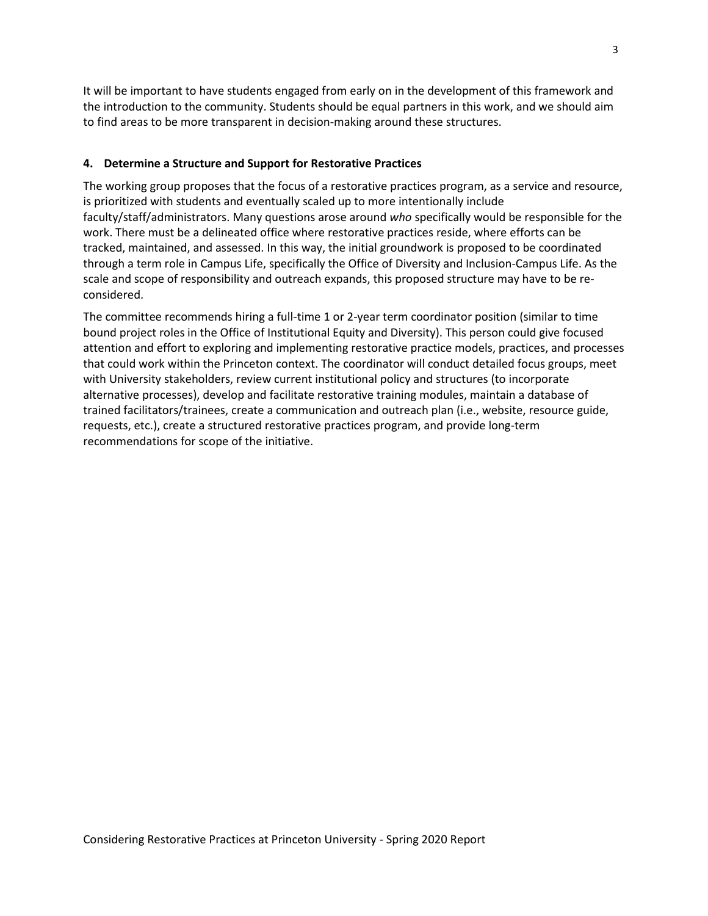It will be important to have students engaged from early on in the development of this framework and the introduction to the community. Students should be equal partners in this work, and we should aim to find areas to be more transparent in decision-making around these structures.

### **4. Determine a Structure and Support for Restorative Practices**

The working group proposes that the focus of a restorative practices program, as a service and resource, is prioritized with students and eventually scaled up to more intentionally include faculty/staff/administrators. Many questions arose around *who* specifically would be responsible for the work. There must be a delineated office where restorative practices reside, where efforts can be tracked, maintained, and assessed. In this way, the initial groundwork is proposed to be coordinated through a term role in Campus Life, specifically the Office of Diversity and Inclusion-Campus Life. As the scale and scope of responsibility and outreach expands, this proposed structure may have to be reconsidered.

The committee recommends hiring a full-time 1 or 2-year term coordinator position (similar to time bound project roles in the Office of Institutional Equity and Diversity). This person could give focused attention and effort to exploring and implementing restorative practice models, practices, and processes that could work within the Princeton context. The coordinator will conduct detailed focus groups, meet with University stakeholders, review current institutional policy and structures (to incorporate alternative processes), develop and facilitate restorative training modules, maintain a database of trained facilitators/trainees, create a communication and outreach plan (i.e., website, resource guide, requests, etc.), create a structured restorative practices program, and provide long-term recommendations for scope of the initiative.